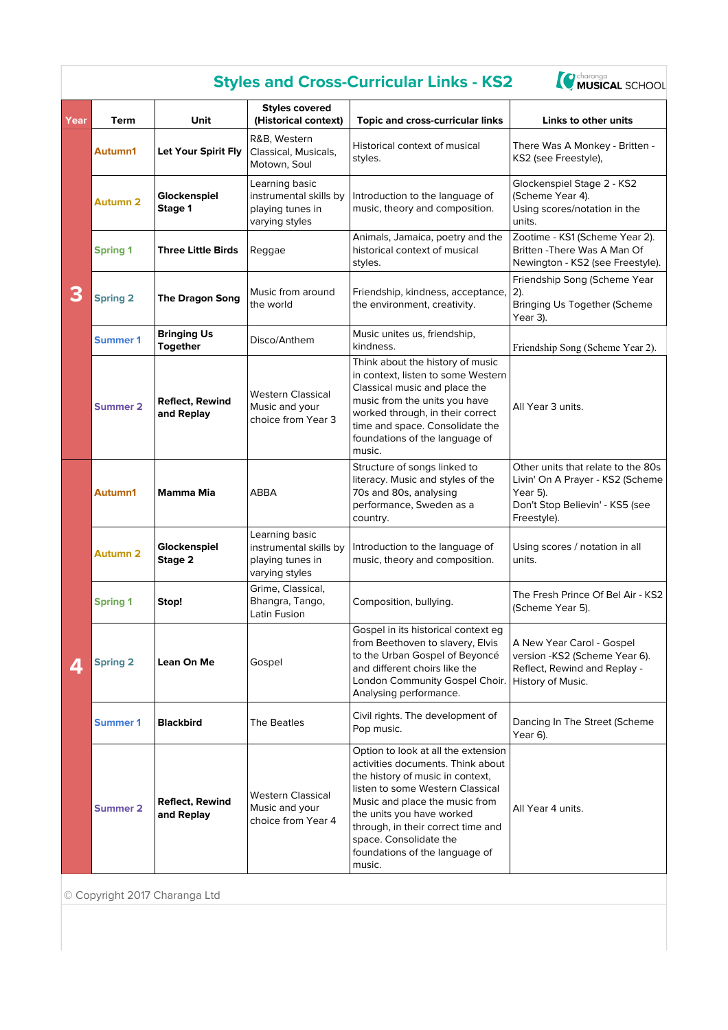|  | <b>Styles and Cross-Curricular Links - KS2</b> |  |  |
|--|------------------------------------------------|--|--|
|  |                                                |  |  |



| Year | Term                          | Unit                                  | <b>Styles covered</b><br>(Historical context)                                  | <b>Topic and cross-curricular links</b>                                                                                                                                                                                                                                                                                     | Links to other units                                                                                                                 |
|------|-------------------------------|---------------------------------------|--------------------------------------------------------------------------------|-----------------------------------------------------------------------------------------------------------------------------------------------------------------------------------------------------------------------------------------------------------------------------------------------------------------------------|--------------------------------------------------------------------------------------------------------------------------------------|
| 3    | Autumn1                       | Let Your Spirit Fly                   | R&B, Western<br>Classical, Musicals,<br>Motown, Soul                           | Historical context of musical<br>styles.                                                                                                                                                                                                                                                                                    | There Was A Monkey - Britten -<br>KS2 (see Freestyle),                                                                               |
|      | <b>Autumn 2</b>               | Glockenspiel<br>Stage 1               | Learning basic<br>instrumental skills by<br>playing tunes in<br>varying styles | Introduction to the language of<br>music, theory and composition.                                                                                                                                                                                                                                                           | Glockenspiel Stage 2 - KS2<br>(Scheme Year 4).<br>Using scores/notation in the<br>units.                                             |
|      | <b>Spring 1</b>               | <b>Three Little Birds</b>             | Reggae                                                                         | Animals, Jamaica, poetry and the<br>historical context of musical<br>styles.                                                                                                                                                                                                                                                | Zootime - KS1 (Scheme Year 2).<br>Britten - There Was A Man Of<br>Newington - KS2 (see Freestyle).                                   |
|      | <b>Spring 2</b>               | The Dragon Song                       | Music from around<br>the world                                                 | Friendship, kindness, acceptance,<br>the environment, creativity.                                                                                                                                                                                                                                                           | Friendship Song (Scheme Year<br>$2$ ).<br>Bringing Us Together (Scheme<br>Year 3).                                                   |
|      | <b>Summer 1</b>               | <b>Bringing Us</b><br><b>Together</b> | Disco/Anthem                                                                   | Music unites us, friendship,<br>kindness.                                                                                                                                                                                                                                                                                   | Friendship Song (Scheme Year 2).                                                                                                     |
|      | <b>Summer 2</b>               | <b>Reflect, Rewind</b><br>and Replay  | Western Classical<br>Music and your<br>choice from Year 3                      | Think about the history of music<br>in context, listen to some Western<br>Classical music and place the<br>music from the units you have<br>worked through, in their correct<br>time and space. Consolidate the<br>foundations of the language of<br>music.                                                                 | All Year 3 units.                                                                                                                    |
|      | Autumn1                       | Mamma Mia                             | ABBA                                                                           | Structure of songs linked to<br>literacy. Music and styles of the<br>70s and 80s, analysing<br>performance, Sweden as a<br>country.                                                                                                                                                                                         | Other units that relate to the 80s<br>Livin' On A Prayer - KS2 (Scheme<br>Year 5).<br>Don't Stop Believin' - KS5 (see<br>Freestyle). |
|      | <b>Autumn 2</b>               | Glockenspiel<br>Stage 2               | Learning basic<br>instrumental skills by<br>playing tunes in<br>varying styles | Introduction to the language of<br>music, theory and composition.                                                                                                                                                                                                                                                           | Using scores / notation in all<br>units.                                                                                             |
|      | <b>Spring 1</b>               | Stop!                                 | Grime, Classical,<br>Bhangra, Tango,<br>Latin Fusion                           | Composition, bullying.                                                                                                                                                                                                                                                                                                      | The Fresh Prince Of Bel Air - KS2<br>(Scheme Year 5).                                                                                |
|      | <b>Spring 2</b><br>Lean On Me |                                       | Gospel                                                                         | Gospel in its historical context eg<br>from Beethoven to slavery, Elvis<br>to the Urban Gospel of Beyoncé<br>and different choirs like the<br>London Community Gospel Choir.<br>Analysing performance.                                                                                                                      | A New Year Carol - Gospel<br>version -KS2 (Scheme Year 6).<br>Reflect, Rewind and Replay -<br>History of Music.                      |
|      | <b>Summer 1</b>               | <b>Blackbird</b>                      | The Beatles                                                                    | Civil rights. The development of<br>Pop music.                                                                                                                                                                                                                                                                              | Dancing In The Street (Scheme<br>Year 6).                                                                                            |
|      | <b>Summer 2</b>               | <b>Reflect, Rewind</b><br>and Replay  | Western Classical<br>Music and your<br>choice from Year 4                      | Option to look at all the extension<br>activities documents. Think about<br>the history of music in context,<br>listen to some Western Classical<br>Music and place the music from<br>the units you have worked<br>through, in their correct time and<br>space. Consolidate the<br>foundations of the language of<br>music. | All Year 4 units.                                                                                                                    |

© Copyright 2017 Charanga Ltd